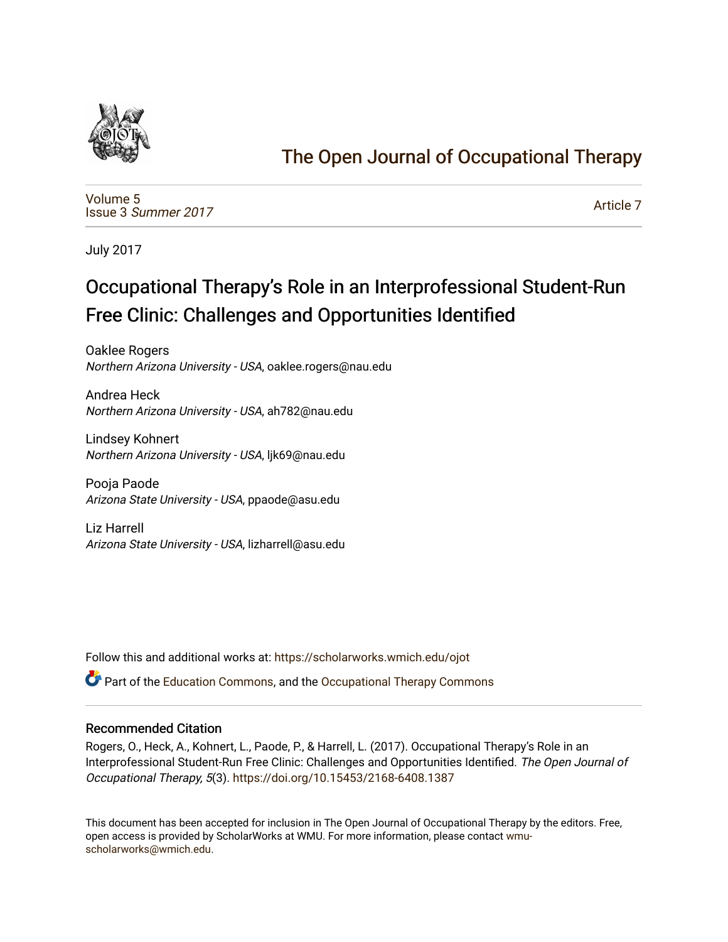

# [The Open Journal of Occupational Therapy](https://scholarworks.wmich.edu/ojot)

[Volume 5](https://scholarworks.wmich.edu/ojot/vol5) Issue 3 [Summer 2017](https://scholarworks.wmich.edu/ojot/vol5/iss3) 

[Article 7](https://scholarworks.wmich.edu/ojot/vol5/iss3/7) 

July 2017

# Occupational Therapy's Role in an Interprofessional Student-Run Free Clinic: Challenges and Opportunities Identified

Oaklee Rogers Northern Arizona University - USA, oaklee.rogers@nau.edu

Andrea Heck Northern Arizona University - USA, ah782@nau.edu

Lindsey Kohnert Northern Arizona University - USA, ljk69@nau.edu

Pooja Paode Arizona State University - USA, ppaode@asu.edu

Liz Harrell Arizona State University - USA, lizharrell@asu.edu

Follow this and additional works at: [https://scholarworks.wmich.edu/ojot](https://scholarworks.wmich.edu/ojot?utm_source=scholarworks.wmich.edu%2Fojot%2Fvol5%2Fiss3%2F7&utm_medium=PDF&utm_campaign=PDFCoverPages)

 $\bullet$  Part of the [Education Commons](http://network.bepress.com/hgg/discipline/784?utm_source=scholarworks.wmich.edu%2Fojot%2Fvol5%2Fiss3%2F7&utm_medium=PDF&utm_campaign=PDFCoverPages), and the Occupational Therapy Commons

## Recommended Citation

Rogers, O., Heck, A., Kohnert, L., Paode, P., & Harrell, L. (2017). Occupational Therapy's Role in an Interprofessional Student-Run Free Clinic: Challenges and Opportunities Identified. The Open Journal of Occupational Therapy, 5(3). <https://doi.org/10.15453/2168-6408.1387>

This document has been accepted for inclusion in The Open Journal of Occupational Therapy by the editors. Free, open access is provided by ScholarWorks at WMU. For more information, please contact [wmu](mailto:wmu-scholarworks@wmich.edu)[scholarworks@wmich.edu.](mailto:wmu-scholarworks@wmich.edu)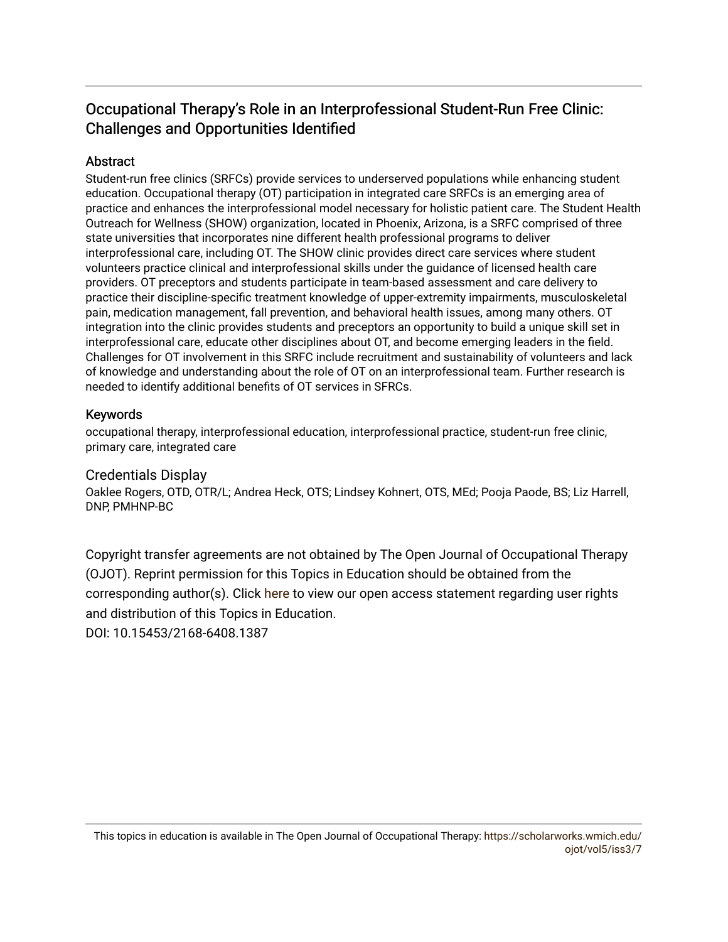# Occupational Therapy's Role in an Interprofessional Student-Run Free Clinic: Challenges and Opportunities Identified

# **Abstract**

Student-run free clinics (SRFCs) provide services to underserved populations while enhancing student education. Occupational therapy (OT) participation in integrated care SRFCs is an emerging area of practice and enhances the interprofessional model necessary for holistic patient care. The Student Health Outreach for Wellness (SHOW) organization, located in Phoenix, Arizona, is a SRFC comprised of three state universities that incorporates nine different health professional programs to deliver interprofessional care, including OT. The SHOW clinic provides direct care services where student volunteers practice clinical and interprofessional skills under the guidance of licensed health care providers. OT preceptors and students participate in team-based assessment and care delivery to practice their discipline-specific treatment knowledge of upper-extremity impairments, musculoskeletal pain, medication management, fall prevention, and behavioral health issues, among many others. OT integration into the clinic provides students and preceptors an opportunity to build a unique skill set in interprofessional care, educate other disciplines about OT, and become emerging leaders in the field. Challenges for OT involvement in this SRFC include recruitment and sustainability of volunteers and lack of knowledge and understanding about the role of OT on an interprofessional team. Further research is needed to identify additional benefits of OT services in SFRCs.

## Keywords

occupational therapy, interprofessional education, interprofessional practice, student-run free clinic, primary care, integrated care

## Credentials Display

Oaklee Rogers, OTD, OTR/L; Andrea Heck, OTS; Lindsey Kohnert, OTS, MEd; Pooja Paode, BS; Liz Harrell, DNP, PMHNP-BC

Copyright transfer agreements are not obtained by The Open Journal of Occupational Therapy (OJOT). Reprint permission for this Topics in Education should be obtained from the corresponding author(s). Click [here](https://scholarworks.wmich.edu/ojot/policies.html#rights) to view our open access statement regarding user rights and distribution of this Topics in Education.

DOI: 10.15453/2168-6408.1387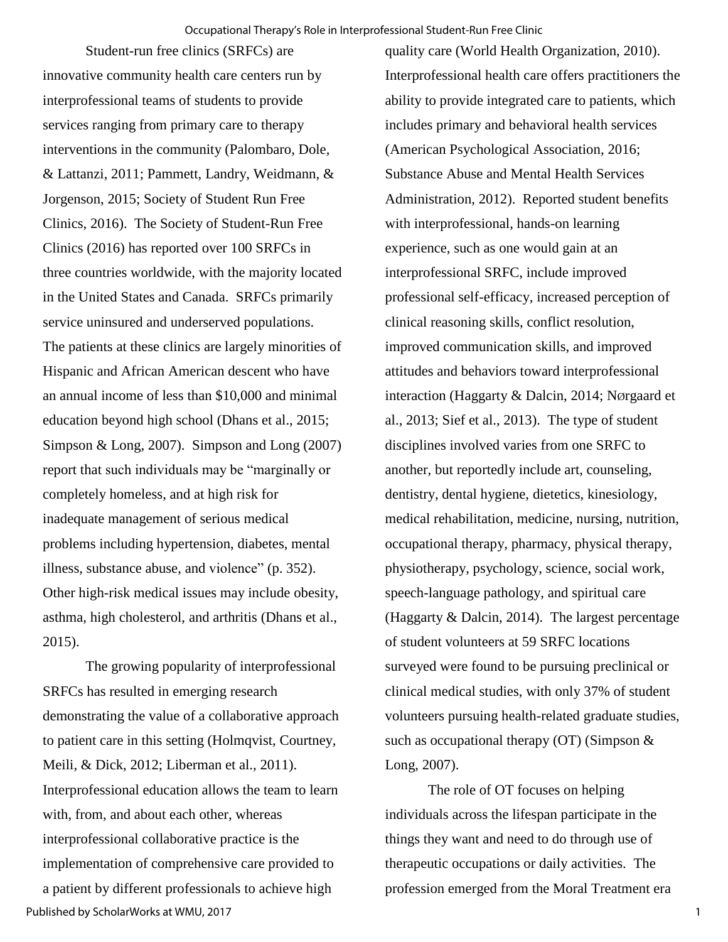Student-run free clinics (SRFCs) are innovative community health care centers run by interprofessional teams of students to provide services ranging from primary care to therapy interventions in the community (Palombaro, Dole, & Lattanzi, 2011; Pammett, Landry, Weidmann, & Jorgenson, 2015; Society of Student Run Free Clinics, 2016). The Society of Student-Run Free Clinics (2016) has reported over 100 SRFCs in three countries worldwide, with the majority located in the United States and Canada. SRFCs primarily service uninsured and underserved populations. The patients at these clinics are largely minorities of Hispanic and African American descent who have an annual income of less than \$10,000 and minimal education beyond high school (Dhans et al., 2015; Simpson & Long, 2007). Simpson and Long (2007) report that such individuals may be "marginally or completely homeless, and at high risk for inadequate management of serious medical problems including hypertension, diabetes, mental illness, substance abuse, and violence" (p. 352). Other high-risk medical issues may include obesity, asthma, high cholesterol, and arthritis (Dhans et al., 2015).

The growing popularity of interprofessional SRFCs has resulted in emerging research demonstrating the value of a collaborative approach to patient care in this setting (Holmqvist, Courtney, Meili, & Dick, 2012; Liberman et al., 2011). Interprofessional education allows the team to learn with, from, and about each other, whereas interprofessional collaborative practice is the implementation of comprehensive care provided to a patient by different professionals to achieve high Published by ScholarWorks at WMU, 2017

quality care (World Health Organization, 2010). Interprofessional health care offers practitioners the ability to provide integrated care to patients, which includes primary and behavioral health services (American Psychological Association, 2016; Substance Abuse and Mental Health Services Administration, 2012). Reported student benefits with interprofessional, hands-on learning experience, such as one would gain at an interprofessional SRFC, include improved professional self-efficacy, increased perception of clinical reasoning skills, conflict resolution, improved communication skills, and improved attitudes and behaviors toward interprofessional interaction (Haggarty & Dalcin, 2014; NØrgaard et al., 2013; Sief et al., 2013). The type of student disciplines involved varies from one SRFC to another, but reportedly include art, counseling, dentistry, dental hygiene, dietetics, kinesiology, medical rehabilitation, medicine, nursing, nutrition, occupational therapy, pharmacy, physical therapy, physiotherapy, psychology, science, social work, speech-language pathology, and spiritual care (Haggarty & Dalcin, 2014). The largest percentage of student volunteers at 59 SRFC locations surveyed were found to be pursuing preclinical or clinical medical studies, with only 37% of student volunteers pursuing health-related graduate studies, such as occupational therapy  $(OT)$  (Simpson  $\&$ Long, 2007).

 The role of OT focuses on helping individuals across the lifespan participate in the things they want and need to do through use of therapeutic occupations or daily activities. The profession emerged from the Moral Treatment era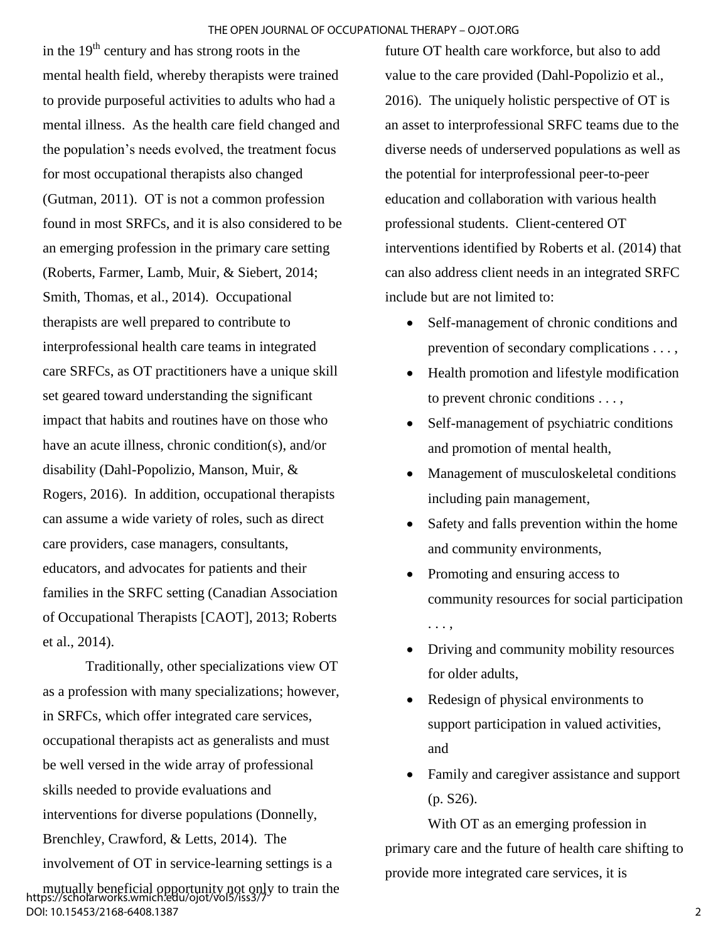in the  $19<sup>th</sup>$  century and has strong roots in the mental health field, whereby therapists were trained to provide purposeful activities to adults who had a mental illness. As the health care field changed and the population's needs evolved, the treatment focus for most occupational therapists also changed (Gutman, 2011). OT is not a common profession found in most SRFCs, and it is also considered to be an emerging profession in the primary care setting (Roberts, Farmer, Lamb, Muir, & Siebert, 2014; Smith, Thomas, et al., 2014). Occupational therapists are well prepared to contribute to interprofessional health care teams in integrated care SRFCs, as OT practitioners have a unique skill set geared toward understanding the significant impact that habits and routines have on those who have an acute illness, chronic condition(s), and/or disability (Dahl-Popolizio, Manson, Muir, & Rogers, 2016). In addition, occupational therapists can assume a wide variety of roles, such as direct care providers, case managers, consultants, educators, and advocates for patients and their families in the SRFC setting (Canadian Association of Occupational Therapists [CAOT], 2013; Roberts et al., 2014).

Traditionally, other specializations view OT as a profession with many specializations; however, in SRFCs, which offer integrated care services, occupational therapists act as generalists and must be well versed in the wide array of professional skills needed to provide evaluations and interventions for diverse populations (Donnelly, Brenchley, Crawford, & Letts, 2014). The involvement of OT in service-learning settings is a

mutually beneficial opportunity not only to train the https://scholarworks.wmich.edu/ojot/vol5/iss3/7 DOI: 10.15453/2168-6408.1387

future OT health care workforce, but also to add value to the care provided (Dahl-Popolizio et al., 2016). The uniquely holistic perspective of OT is an asset to interprofessional SRFC teams due to the diverse needs of underserved populations as well as the potential for interprofessional peer-to-peer education and collaboration with various health professional students. Client-centered OT interventions identified by Roberts et al. (2014) that can also address client needs in an integrated SRFC include but are not limited to:

- Self-management of chronic conditions and prevention of secondary complications . . . ,
- Health promotion and lifestyle modification to prevent chronic conditions . . . ,
- Self-management of psychiatric conditions and promotion of mental health,
- Management of musculoskeletal conditions including pain management,
- Safety and falls prevention within the home and community environments,
- Promoting and ensuring access to community resources for social participation . . . ,
- Driving and community mobility resources for older adults,
- Redesign of physical environments to support participation in valued activities, and
- Family and caregiver assistance and support (p. S26).

With OT as an emerging profession in primary care and the future of health care shifting to provide more integrated care services, it is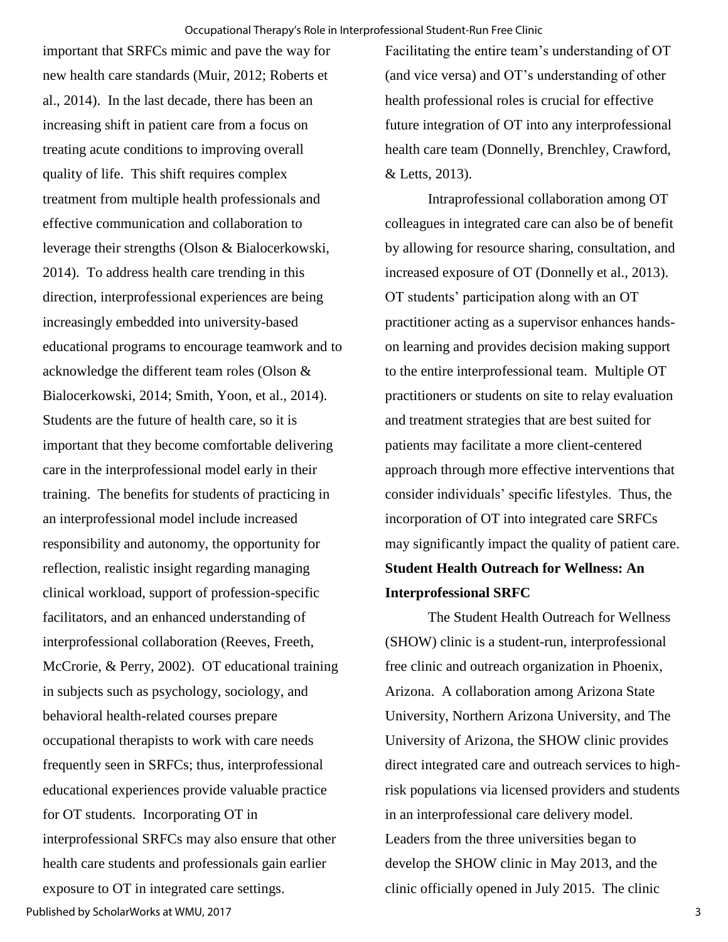important that SRFCs mimic and pave the way for new health care standards (Muir, 2012; Roberts et al., 2014). In the last decade, there has been an increasing shift in patient care from a focus on treating acute conditions to improving overall quality of life. This shift requires complex treatment from multiple health professionals and effective communication and collaboration to leverage their strengths (Olson & Bialocerkowski, 2014). To address health care trending in this direction, interprofessional experiences are being increasingly embedded into university-based educational programs to encourage teamwork and to acknowledge the different team roles (Olson & Bialocerkowski, 2014; Smith, Yoon, et al., 2014). Students are the future of health care, so it is important that they become comfortable delivering care in the interprofessional model early in their training. The benefits for students of practicing in an interprofessional model include increased responsibility and autonomy, the opportunity for reflection, realistic insight regarding managing clinical workload, support of profession-specific facilitators, and an enhanced understanding of interprofessional collaboration (Reeves, Freeth, McCrorie, & Perry, 2002). OT educational training in subjects such as psychology, sociology, and behavioral health-related courses prepare occupational therapists to work with care needs frequently seen in SRFCs; thus, interprofessional educational experiences provide valuable practice for OT students. Incorporating OT in interprofessional SRFCs may also ensure that other health care students and professionals gain earlier exposure to OT in integrated care settings.

Facilitating the entire team's understanding of OT (and vice versa) and OT's understanding of other health professional roles is crucial for effective future integration of OT into any interprofessional health care team (Donnelly, Brenchley, Crawford, & Letts, 2013).

Intraprofessional collaboration among OT colleagues in integrated care can also be of benefit by allowing for resource sharing, consultation, and increased exposure of OT (Donnelly et al., 2013). OT students' participation along with an OT practitioner acting as a supervisor enhances handson learning and provides decision making support to the entire interprofessional team. Multiple OT practitioners or students on site to relay evaluation and treatment strategies that are best suited for patients may facilitate a more client-centered approach through more effective interventions that consider individuals' specific lifestyles. Thus, the incorporation of OT into integrated care SRFCs may significantly impact the quality of patient care. **Student Health Outreach for Wellness: An Interprofessional SRFC**

The Student Health Outreach for Wellness (SHOW) clinic is a student-run, interprofessional free clinic and outreach organization in Phoenix, Arizona. A collaboration among Arizona State University, Northern Arizona University, and The University of Arizona, the SHOW clinic provides direct integrated care and outreach services to highrisk populations via licensed providers and students in an interprofessional care delivery model. Leaders from the three universities began to develop the SHOW clinic in May 2013, and the clinic officially opened in July 2015. The clinic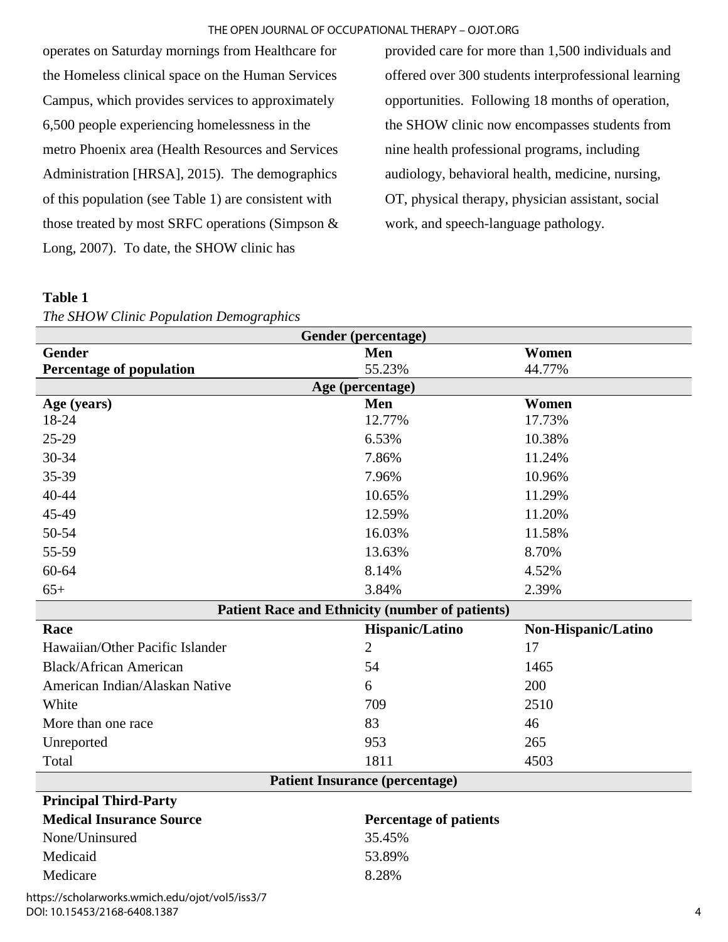#### THE OPEN JOURNAL OF OCCUPATIONAL THERAPY – OJOT.ORG

operates on Saturday mornings from Healthcare for the Homeless clinical space on the Human Services Campus, which provides services to approximately 6,500 people experiencing homelessness in the metro Phoenix area (Health Resources and Services Administration [HRSA], 2015). The demographics of this population (see Table 1) are consistent with those treated by most SRFC operations (Simpson & Long, 2007). To date, the SHOW clinic has

provided care for more than 1,500 individuals and offered over 300 students interprofessional learning opportunities. Following 18 months of operation, the SHOW clinic now encompasses students from nine health professional programs, including audiology, behavioral health, medicine, nursing, OT, physical therapy, physician assistant, social work, and speech-language pathology.

#### **Table 1**

*The SHOW Clinic Population Demographics*

| Gender (percentage)                             |                                                        |                     |  |
|-------------------------------------------------|--------------------------------------------------------|---------------------|--|
| <b>Gender</b>                                   | Men                                                    | Women               |  |
| <b>Percentage of population</b>                 | 55.23%                                                 | 44.77%              |  |
|                                                 | Age (percentage)                                       |                     |  |
| Age (years)                                     | Men                                                    | Women               |  |
| 18-24                                           | 12.77%                                                 | 17.73%              |  |
| $25-29$                                         | 6.53%                                                  | 10.38%              |  |
| $30 - 34$                                       | 7.86%                                                  | 11.24%              |  |
| 35-39                                           | 7.96%                                                  | 10.96%              |  |
| $40 - 44$                                       | 10.65%                                                 | 11.29%              |  |
| 45-49                                           | 12.59%                                                 | 11.20%              |  |
| 50-54                                           | 16.03%                                                 | 11.58%              |  |
| 55-59                                           | 13.63%                                                 | 8.70%               |  |
| 60-64                                           | 8.14%                                                  | 4.52%               |  |
| $65+$                                           | 3.84%                                                  | 2.39%               |  |
|                                                 | <b>Patient Race and Ethnicity (number of patients)</b> |                     |  |
| Race                                            | Hispanic/Latino                                        | Non-Hispanic/Latino |  |
| Hawaiian/Other Pacific Islander                 | $\overline{2}$                                         | 17                  |  |
| <b>Black/African American</b>                   | 54                                                     | 1465                |  |
| American Indian/Alaskan Native                  | 6                                                      | 200                 |  |
| White                                           | 709                                                    | 2510                |  |
| More than one race                              | 83                                                     | 46                  |  |
| Unreported                                      | 953                                                    | 265                 |  |
| Total                                           | 1811                                                   | 4503                |  |
| <b>Patient Insurance (percentage)</b>           |                                                        |                     |  |
| <b>Principal Third-Party</b>                    |                                                        |                     |  |
| <b>Medical Insurance Source</b>                 | <b>Percentage of patients</b>                          |                     |  |
| None/Uninsured                                  | 35.45%                                                 |                     |  |
| Medicaid                                        | 53.89%                                                 |                     |  |
| Medicare                                        | 8.28%                                                  |                     |  |
| https://scholarworks.wmich.edu/ojot/vol5/iss3/7 |                                                        |                     |  |

DOI: 10.15453/2168-6408.1387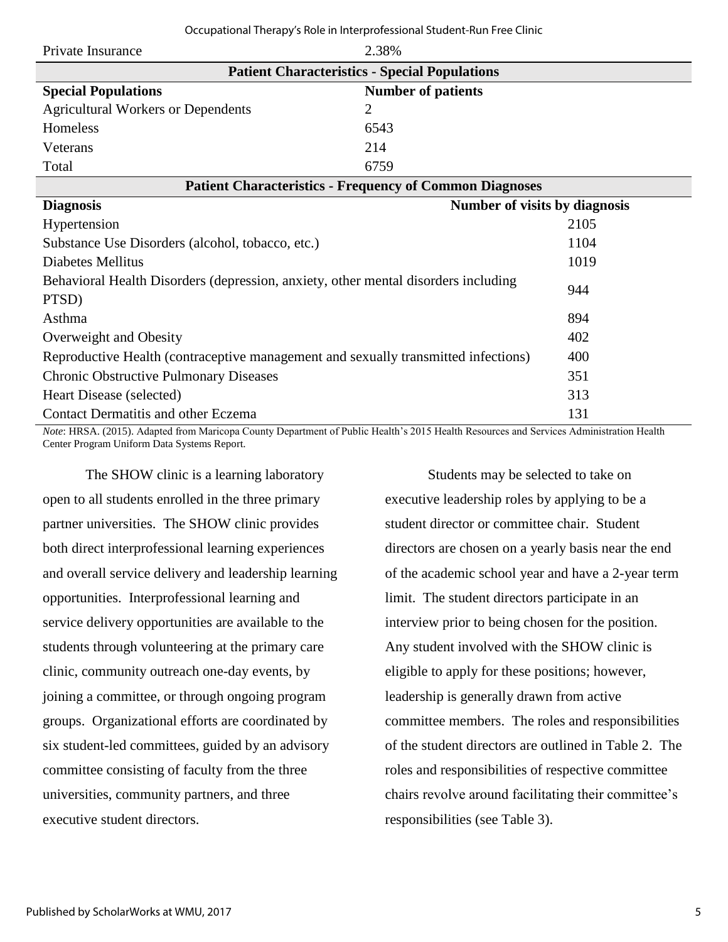| Occupational Therapy's Role in Interprofessional Student-Run Free Clinic |  |  |  |
|--------------------------------------------------------------------------|--|--|--|
|--------------------------------------------------------------------------|--|--|--|

| Private Insurance                                                                                                                                                                                                                                                                                                                 | 2.38%                                                |      |  |
|-----------------------------------------------------------------------------------------------------------------------------------------------------------------------------------------------------------------------------------------------------------------------------------------------------------------------------------|------------------------------------------------------|------|--|
|                                                                                                                                                                                                                                                                                                                                   | <b>Patient Characteristics - Special Populations</b> |      |  |
| <b>Special Populations</b>                                                                                                                                                                                                                                                                                                        | <b>Number of patients</b>                            |      |  |
| <b>Agricultural Workers or Dependents</b>                                                                                                                                                                                                                                                                                         | 2                                                    |      |  |
| Homeless                                                                                                                                                                                                                                                                                                                          | 6543                                                 |      |  |
| Veterans                                                                                                                                                                                                                                                                                                                          | 214                                                  |      |  |
| Total                                                                                                                                                                                                                                                                                                                             | 6759                                                 |      |  |
| <b>Patient Characteristics - Frequency of Common Diagnoses</b>                                                                                                                                                                                                                                                                    |                                                      |      |  |
| <b>Diagnosis</b>                                                                                                                                                                                                                                                                                                                  | Number of visits by diagnosis                        |      |  |
| Hypertension                                                                                                                                                                                                                                                                                                                      |                                                      | 2105 |  |
| Substance Use Disorders (alcohol, tobacco, etc.)                                                                                                                                                                                                                                                                                  |                                                      | 1104 |  |
| Diabetes Mellitus                                                                                                                                                                                                                                                                                                                 |                                                      | 1019 |  |
| Behavioral Health Disorders (depression, anxiety, other mental disorders including                                                                                                                                                                                                                                                |                                                      |      |  |
| PTSD)                                                                                                                                                                                                                                                                                                                             |                                                      | 944  |  |
| Asthma                                                                                                                                                                                                                                                                                                                            |                                                      | 894  |  |
| Overweight and Obesity                                                                                                                                                                                                                                                                                                            |                                                      | 402  |  |
| Reproductive Health (contraceptive management and sexually transmitted infections)                                                                                                                                                                                                                                                |                                                      | 400  |  |
| <b>Chronic Obstructive Pulmonary Diseases</b>                                                                                                                                                                                                                                                                                     |                                                      | 351  |  |
| Heart Disease (selected)                                                                                                                                                                                                                                                                                                          |                                                      | 313  |  |
| <b>Contact Dermatitis and other Eczema</b><br>131<br>$\alpha$ and $\alpha$ is the sequence of $\alpha$ in the H $\alpha$ in the H $\alpha$ in $\alpha$ is the H $\alpha$ in $\alpha$<br>$\sim$ And $\sim$ 10 for a set of $\sim$ TT shaft.<br>$1 \cap$<br>$\mathcal{M}$ is time as $(0.015)$ and $1.001$ $\ldots$ $\mathcal{M}$ . |                                                      |      |  |

*Note*: HRSA. (2015). Adapted from Maricopa County Department of Public Health's 2015 Health Resources and Services Administration Health Center Program Uniform Data Systems Report.

The SHOW clinic is a learning laboratory open to all students enrolled in the three primary partner universities. The SHOW clinic provides both direct interprofessional learning experiences and overall service delivery and leadership learning opportunities. Interprofessional learning and service delivery opportunities are available to the students through volunteering at the primary care clinic, community outreach one-day events, by joining a committee, or through ongoing program groups. Organizational efforts are coordinated by six student-led committees, guided by an advisory committee consisting of faculty from the three universities, community partners, and three executive student directors.

Students may be selected to take on executive leadership roles by applying to be a student director or committee chair. Student directors are chosen on a yearly basis near the end of the academic school year and have a 2-year term limit. The student directors participate in an interview prior to being chosen for the position. Any student involved with the SHOW clinic is eligible to apply for these positions; however, leadership is generally drawn from active committee members. The roles and responsibilities of the student directors are outlined in Table 2. The roles and responsibilities of respective committee chairs revolve around facilitating their committee's responsibilities (see Table 3).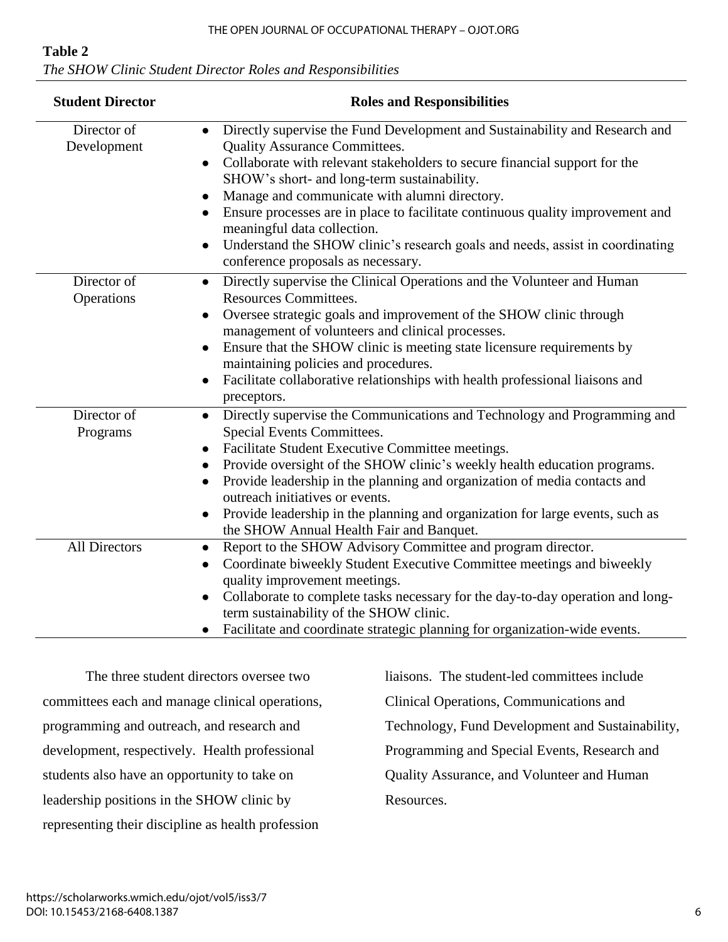# **Table 2**

| The SHOW Clinic Student Director Roles and Responsibilities |  |
|-------------------------------------------------------------|--|
|-------------------------------------------------------------|--|

| <b>Student Director</b>    | <b>Roles and Responsibilities</b>                                                                                                                                                                                                                                                                                                                                                                                                                                                                                                                                                                          |
|----------------------------|------------------------------------------------------------------------------------------------------------------------------------------------------------------------------------------------------------------------------------------------------------------------------------------------------------------------------------------------------------------------------------------------------------------------------------------------------------------------------------------------------------------------------------------------------------------------------------------------------------|
| Director of<br>Development | Directly supervise the Fund Development and Sustainability and Research and<br>$\bullet$<br><b>Quality Assurance Committees.</b><br>Collaborate with relevant stakeholders to secure financial support for the<br>$\bullet$<br>SHOW's short- and long-term sustainability.<br>Manage and communicate with alumni directory.<br>$\bullet$<br>Ensure processes are in place to facilitate continuous quality improvement and<br>$\bullet$<br>meaningful data collection.<br>Understand the SHOW clinic's research goals and needs, assist in coordinating<br>$\bullet$<br>conference proposals as necessary. |
| Director of<br>Operations  | Directly supervise the Clinical Operations and the Volunteer and Human<br>$\bullet$<br><b>Resources Committees.</b><br>Oversee strategic goals and improvement of the SHOW clinic through<br>$\bullet$<br>management of volunteers and clinical processes.<br>Ensure that the SHOW clinic is meeting state licensure requirements by<br>maintaining policies and procedures.<br>Facilitate collaborative relationships with health professional liaisons and<br>$\bullet$<br>preceptors.                                                                                                                   |
| Director of<br>Programs    | Directly supervise the Communications and Technology and Programming and<br>$\bullet$<br>Special Events Committees.<br>Facilitate Student Executive Committee meetings.<br>$\bullet$<br>Provide oversight of the SHOW clinic's weekly health education programs.<br>$\bullet$<br>Provide leadership in the planning and organization of media contacts and<br>$\bullet$<br>outreach initiatives or events.<br>Provide leadership in the planning and organization for large events, such as<br>$\bullet$<br>the SHOW Annual Health Fair and Banquet.                                                       |
| <b>All Directors</b>       | Report to the SHOW Advisory Committee and program director.<br>$\bullet$<br>Coordinate biweekly Student Executive Committee meetings and biweekly<br>$\bullet$<br>quality improvement meetings.<br>Collaborate to complete tasks necessary for the day-to-day operation and long-<br>$\bullet$<br>term sustainability of the SHOW clinic.<br>Facilitate and coordinate strategic planning for organization-wide events.                                                                                                                                                                                    |

The three student directors oversee two committees each and manage clinical operations, programming and outreach, and research and development, respectively. Health professional students also have an opportunity to take on leadership positions in the SHOW clinic by representing their discipline as health profession

liaisons. The student-led committees include

Clinical Operations, Communications and

Technology, Fund Development and Sustainability,

Programming and Special Events, Research and

Quality Assurance, and Volunteer and Human

Resources.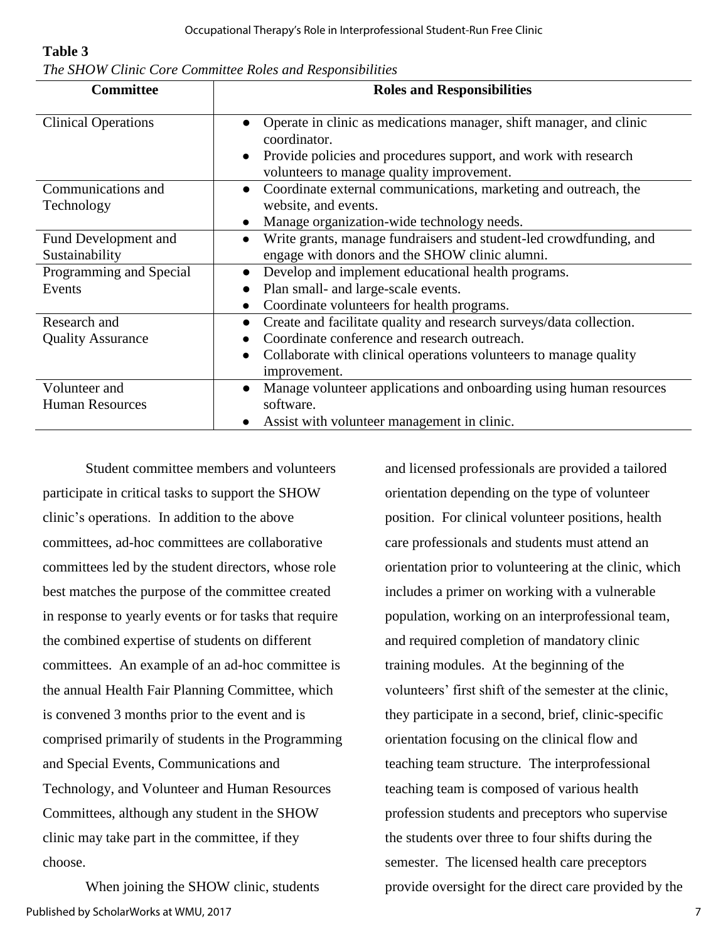#### **Table 3**

|  |  |  |  |  |  | The SHOW Clinic Core Committee Roles and Responsibilities |
|--|--|--|--|--|--|-----------------------------------------------------------|
|--|--|--|--|--|--|-----------------------------------------------------------|

| <b>Committee</b>           | <b>Roles and Responsibilities</b>                                                                                                                                                                   |
|----------------------------|-----------------------------------------------------------------------------------------------------------------------------------------------------------------------------------------------------|
| <b>Clinical Operations</b> | Operate in clinic as medications manager, shift manager, and clinic<br>coordinator.<br>Provide policies and procedures support, and work with research<br>volunteers to manage quality improvement. |
| Communications and         | Coordinate external communications, marketing and outreach, the                                                                                                                                     |
| Technology                 | website, and events.                                                                                                                                                                                |
|                            | Manage organization-wide technology needs.                                                                                                                                                          |
| Fund Development and       | Write grants, manage fundraisers and student-led crowdfunding, and                                                                                                                                  |
| Sustainability             | engage with donors and the SHOW clinic alumni.                                                                                                                                                      |
| Programming and Special    | Develop and implement educational health programs.                                                                                                                                                  |
| Events                     | Plan small- and large-scale events.                                                                                                                                                                 |
|                            | Coordinate volunteers for health programs.                                                                                                                                                          |
| Research and               | Create and facilitate quality and research surveys/data collection.                                                                                                                                 |
| <b>Quality Assurance</b>   | Coordinate conference and research outreach.                                                                                                                                                        |
|                            | Collaborate with clinical operations volunteers to manage quality<br>improvement.                                                                                                                   |
| Volunteer and              | Manage volunteer applications and onboarding using human resources                                                                                                                                  |
| <b>Human Resources</b>     | software.                                                                                                                                                                                           |
|                            | Assist with volunteer management in clinic.                                                                                                                                                         |

Student committee members and volunteers participate in critical tasks to support the SHOW clinic's operations. In addition to the above committees, ad-hoc committees are collaborative committees led by the student directors, whose role best matches the purpose of the committee created in response to yearly events or for tasks that require the combined expertise of students on different committees. An example of an ad-hoc committee is the annual Health Fair Planning Committee, which is convened 3 months prior to the event and is comprised primarily of students in the Programming and Special Events, Communications and Technology, and Volunteer and Human Resources Committees, although any student in the SHOW clinic may take part in the committee, if they choose.

When joining the SHOW clinic, students Published by ScholarWorks at WMU, 2017

and licensed professionals are provided a tailored orientation depending on the type of volunteer position. For clinical volunteer positions, health care professionals and students must attend an orientation prior to volunteering at the clinic, which includes a primer on working with a vulnerable population, working on an interprofessional team, and required completion of mandatory clinic training modules. At the beginning of the volunteers' first shift of the semester at the clinic, they participate in a second, brief, clinic-specific orientation focusing on the clinical flow and teaching team structure. The interprofessional teaching team is composed of various health profession students and preceptors who supervise the students over three to four shifts during the semester. The licensed health care preceptors provide oversight for the direct care provided by the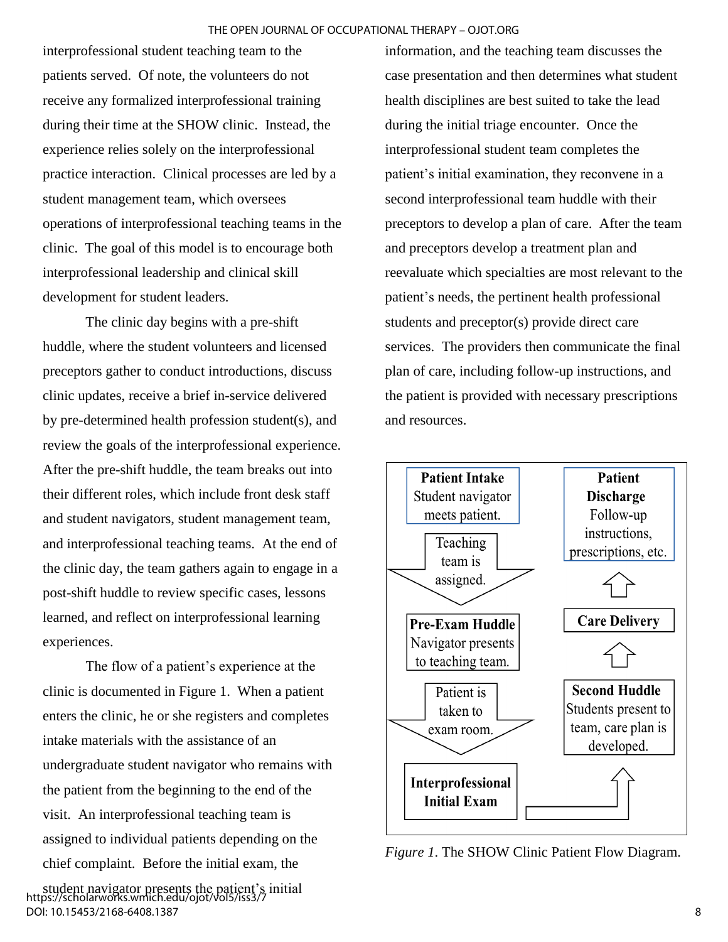interprofessional student teaching team to the patients served. Of note, the volunteers do not receive any formalized interprofessional training during their time at the SHOW clinic. Instead, the experience relies solely on the interprofessional practice interaction. Clinical processes are led by a student management team, which oversees operations of interprofessional teaching teams in the clinic. The goal of this model is to encourage both interprofessional leadership and clinical skill development for student leaders.

The clinic day begins with a pre-shift huddle, where the student volunteers and licensed preceptors gather to conduct introductions, discuss clinic updates, receive a brief in-service delivered by pre-determined health profession student(s), and review the goals of the interprofessional experience. After the pre-shift huddle, the team breaks out into their different roles, which include front desk staff and student navigators, student management team, and interprofessional teaching teams. At the end of the clinic day, the team gathers again to engage in a post-shift huddle to review specific cases, lessons learned, and reflect on interprofessional learning experiences.

The flow of a patient's experience at the clinic is documented in Figure 1. When a patient enters the clinic, he or she registers and completes intake materials with the assistance of an undergraduate student navigator who remains with the patient from the beginning to the end of the visit. An interprofessional teaching team is assigned to individual patients depending on the chief complaint. Before the initial exam, the

student navigator presents the patient's initial https://scholarworks.wmich.edu/ojot/vol5/iss3/7 DOI: 10.15453/2168-6408.1387

information, and the teaching team discusses the case presentation and then determines what student health disciplines are best suited to take the lead during the initial triage encounter. Once the interprofessional student team completes the patient's initial examination, they reconvene in a second interprofessional team huddle with their preceptors to develop a plan of care. After the team and preceptors develop a treatment plan and reevaluate which specialties are most relevant to the patient's needs, the pertinent health professional students and preceptor(s) provide direct care services. The providers then communicate the final plan of care, including follow-up instructions, and the patient is provided with necessary prescriptions and resources.



*Figure 1*. The SHOW Clinic Patient Flow Diagram.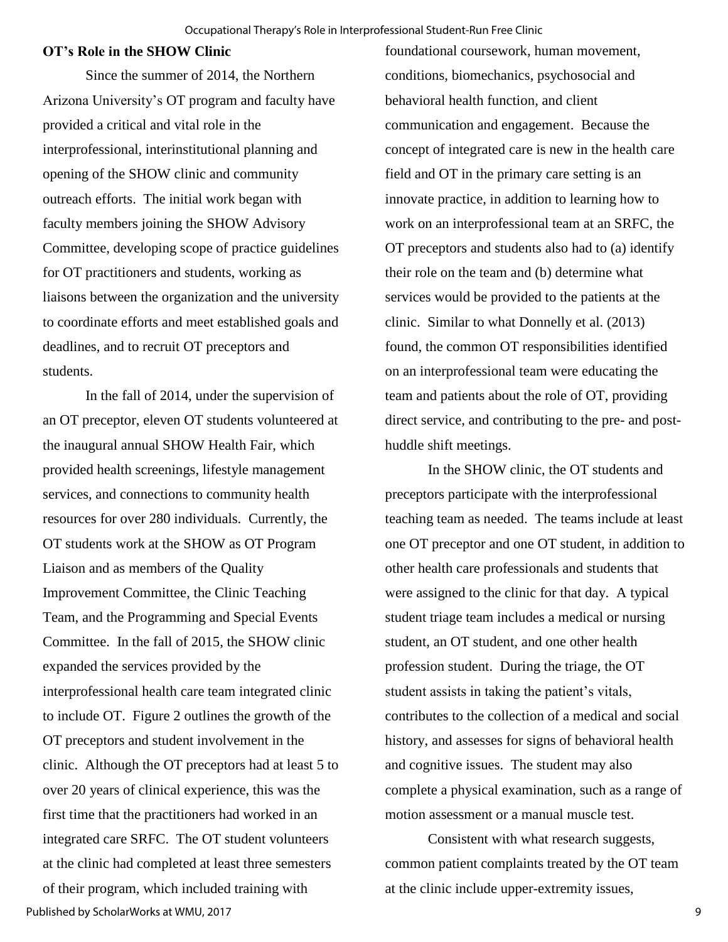#### **OT's Role in the SHOW Clinic**

Since the summer of 2014, the Northern Arizona University's OT program and faculty have provided a critical and vital role in the interprofessional, interinstitutional planning and opening of the SHOW clinic and community outreach efforts. The initial work began with faculty members joining the SHOW Advisory Committee, developing scope of practice guidelines for OT practitioners and students, working as liaisons between the organization and the university to coordinate efforts and meet established goals and deadlines, and to recruit OT preceptors and students.

In the fall of 2014, under the supervision of an OT preceptor, eleven OT students volunteered at the inaugural annual SHOW Health Fair, which provided health screenings, lifestyle management services, and connections to community health resources for over 280 individuals. Currently, the OT students work at the SHOW as OT Program Liaison and as members of the Quality Improvement Committee, the Clinic Teaching Team, and the Programming and Special Events Committee. In the fall of 2015, the SHOW clinic expanded the services provided by the interprofessional health care team integrated clinic to include OT. Figure 2 outlines the growth of the OT preceptors and student involvement in the clinic. Although the OT preceptors had at least 5 to over 20 years of clinical experience, this was the first time that the practitioners had worked in an integrated care SRFC. The OT student volunteers at the clinic had completed at least three semesters of their program, which included training with Published by ScholarWorks at WMU, 2017

foundational coursework, human movement, conditions, biomechanics, psychosocial and behavioral health function, and client communication and engagement. Because the concept of integrated care is new in the health care field and OT in the primary care setting is an innovate practice, in addition to learning how to work on an interprofessional team at an SRFC, the OT preceptors and students also had to (a) identify their role on the team and (b) determine what services would be provided to the patients at the clinic. Similar to what Donnelly et al. (2013) found, the common OT responsibilities identified on an interprofessional team were educating the team and patients about the role of OT, providing direct service, and contributing to the pre- and posthuddle shift meetings.

In the SHOW clinic, the OT students and preceptors participate with the interprofessional teaching team as needed. The teams include at least one OT preceptor and one OT student, in addition to other health care professionals and students that were assigned to the clinic for that day. A typical student triage team includes a medical or nursing student, an OT student, and one other health profession student. During the triage, the OT student assists in taking the patient's vitals, contributes to the collection of a medical and social history, and assesses for signs of behavioral health and cognitive issues. The student may also complete a physical examination, such as a range of motion assessment or a manual muscle test.

Consistent with what research suggests, common patient complaints treated by the OT team at the clinic include upper-extremity issues,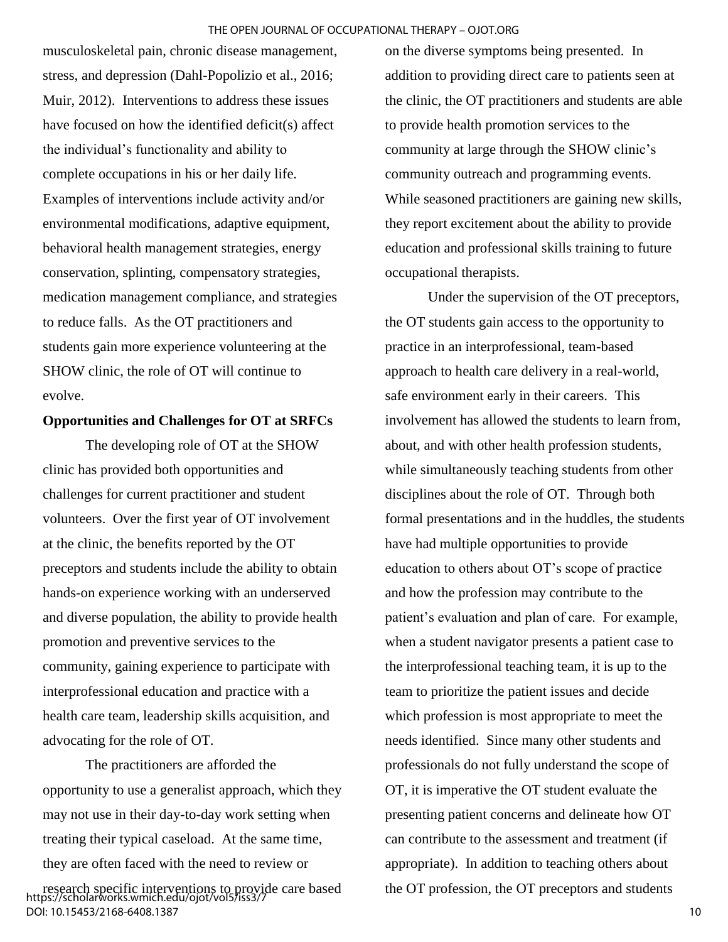musculoskeletal pain, chronic disease management, stress, and depression (Dahl-Popolizio et al., 2016; Muir, 2012). Interventions to address these issues have focused on how the identified deficit(s) affect the individual's functionality and ability to complete occupations in his or her daily life. Examples of interventions include activity and/or environmental modifications, adaptive equipment, behavioral health management strategies, energy conservation, splinting, compensatory strategies, medication management compliance, and strategies to reduce falls. As the OT practitioners and students gain more experience volunteering at the SHOW clinic, the role of OT will continue to evolve.

#### **Opportunities and Challenges for OT at SRFCs**

 The developing role of OT at the SHOW clinic has provided both opportunities and challenges for current practitioner and student volunteers. Over the first year of OT involvement at the clinic, the benefits reported by the OT preceptors and students include the ability to obtain hands-on experience working with an underserved and diverse population, the ability to provide health promotion and preventive services to the community, gaining experience to participate with interprofessional education and practice with a health care team, leadership skills acquisition, and advocating for the role of OT.

The practitioners are afforded the opportunity to use a generalist approach, which they may not use in their day-to-day work setting when treating their typical caseload. At the same time, they are often faced with the need to review or

on the diverse symptoms being presented. In addition to providing direct care to patients seen at the clinic, the OT practitioners and students are able to provide health promotion services to the community at large through the SHOW clinic's community outreach and programming events. While seasoned practitioners are gaining new skills, they report excitement about the ability to provide education and professional skills training to future occupational therapists.

Under the supervision of the OT preceptors, the OT students gain access to the opportunity to practice in an interprofessional, team-based approach to health care delivery in a real-world, safe environment early in their careers. This involvement has allowed the students to learn from, about, and with other health profession students, while simultaneously teaching students from other disciplines about the role of OT. Through both formal presentations and in the huddles, the students have had multiple opportunities to provide education to others about OT's scope of practice and how the profession may contribute to the patient's evaluation and plan of care. For example, when a student navigator presents a patient case to the interprofessional teaching team, it is up to the team to prioritize the patient issues and decide which profession is most appropriate to meet the needs identified. Since many other students and professionals do not fully understand the scope of OT, it is imperative the OT student evaluate the presenting patient concerns and delineate how OT can contribute to the assessment and treatment (if appropriate). In addition to teaching others about the OT profession, the OT preceptors and students

research specific interventions to provide care based https://scholarworks.wmich.edu/ojot/vol5/iss3/7 DOI: 10.15453/2168-6408.1387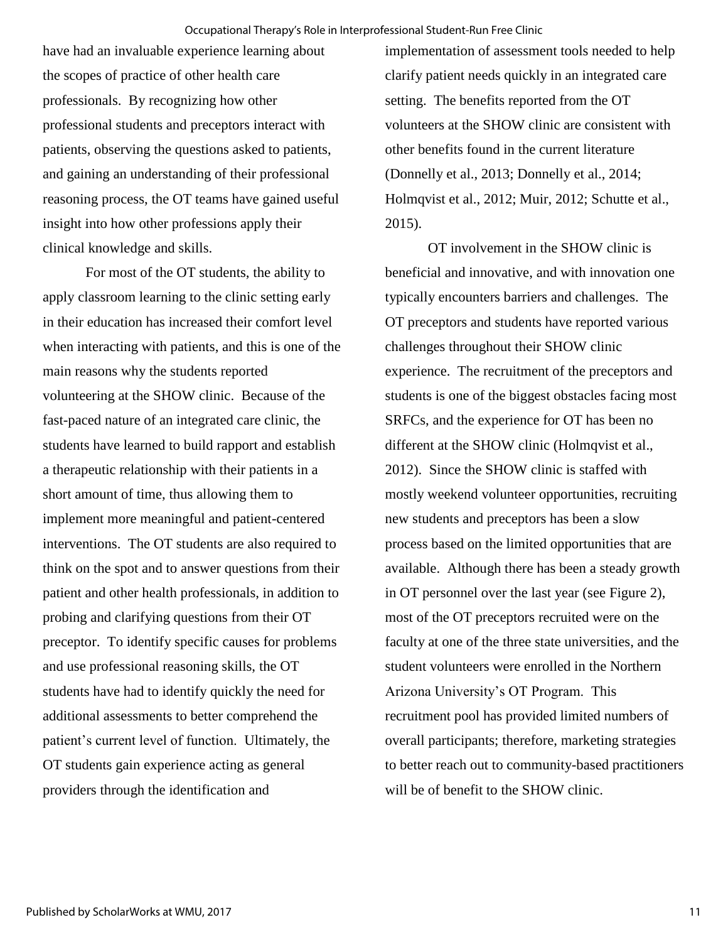have had an invaluable experience learning about the scopes of practice of other health care professionals. By recognizing how other professional students and preceptors interact with patients, observing the questions asked to patients, and gaining an understanding of their professional reasoning process, the OT teams have gained useful insight into how other professions apply their clinical knowledge and skills.

For most of the OT students, the ability to apply classroom learning to the clinic setting early in their education has increased their comfort level when interacting with patients, and this is one of the main reasons why the students reported volunteering at the SHOW clinic. Because of the fast-paced nature of an integrated care clinic, the students have learned to build rapport and establish a therapeutic relationship with their patients in a short amount of time, thus allowing them to implement more meaningful and patient-centered interventions. The OT students are also required to think on the spot and to answer questions from their patient and other health professionals, in addition to probing and clarifying questions from their OT preceptor. To identify specific causes for problems and use professional reasoning skills, the OT students have had to identify quickly the need for additional assessments to better comprehend the patient's current level of function. Ultimately, the OT students gain experience acting as general providers through the identification and

implementation of assessment tools needed to help clarify patient needs quickly in an integrated care setting. The benefits reported from the OT volunteers at the SHOW clinic are consistent with other benefits found in the current literature (Donnelly et al., 2013; Donnelly et al., 2014; Holmqvist et al., 2012; Muir, 2012; Schutte et al., 2015).

OT involvement in the SHOW clinic is beneficial and innovative, and with innovation one typically encounters barriers and challenges. The OT preceptors and students have reported various challenges throughout their SHOW clinic experience. The recruitment of the preceptors and students is one of the biggest obstacles facing most SRFCs, and the experience for OT has been no different at the SHOW clinic (Holmqvist et al., 2012). Since the SHOW clinic is staffed with mostly weekend volunteer opportunities, recruiting new students and preceptors has been a slow process based on the limited opportunities that are available. Although there has been a steady growth in OT personnel over the last year (see Figure 2), most of the OT preceptors recruited were on the faculty at one of the three state universities, and the student volunteers were enrolled in the Northern Arizona University's OT Program. This recruitment pool has provided limited numbers of overall participants; therefore, marketing strategies to better reach out to community-based practitioners will be of benefit to the SHOW clinic.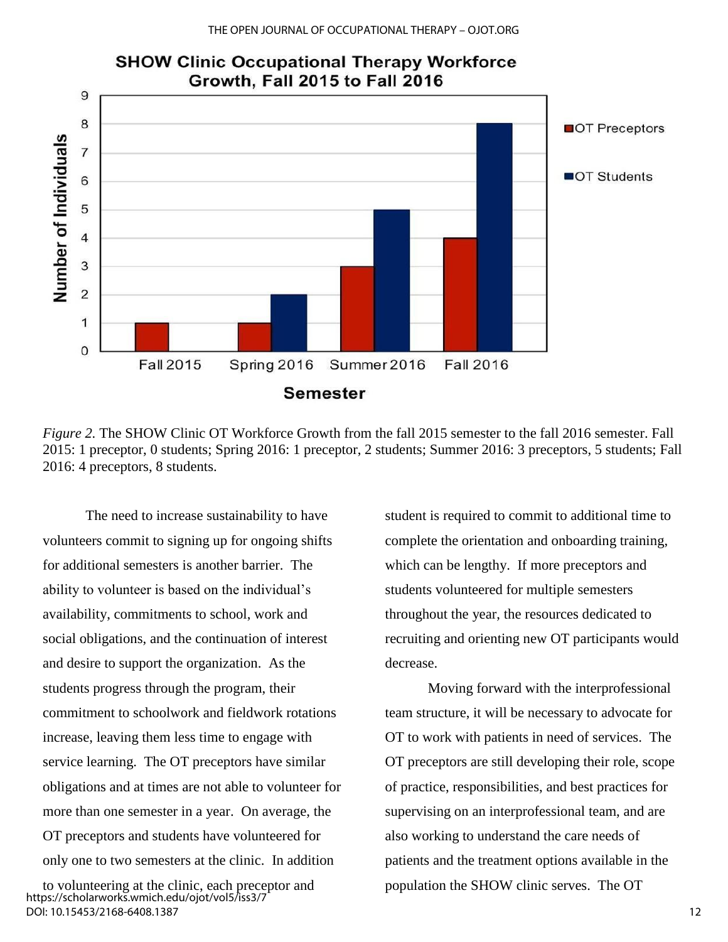

# **SHOW Clinic Occupational Therapy Workforce**

*Figure 2.* The SHOW Clinic OT Workforce Growth from the fall 2015 semester to the fall 2016 semester. Fall 2015: 1 preceptor, 0 students; Spring 2016: 1 preceptor, 2 students; Summer 2016: 3 preceptors, 5 students; Fall 2016: 4 preceptors, 8 students.

The need to increase sustainability to have volunteers commit to signing up for ongoing shifts for additional semesters is another barrier. The ability to volunteer is based on the individual's availability, commitments to school, work and social obligations, and the continuation of interest and desire to support the organization. As the students progress through the program, their commitment to schoolwork and fieldwork rotations increase, leaving them less time to engage with service learning. The OT preceptors have similar obligations and at times are not able to volunteer for more than one semester in a year. On average, the OT preceptors and students have volunteered for only one to two semesters at the clinic. In addition

to volunteering at the clinic, each preceptor and https://scholarworks.wmich.edu/ojot/vol5/iss3/7 DOI: 10.15453/2168-6408.1387

student is required to commit to additional time to complete the orientation and onboarding training, which can be lengthy. If more preceptors and students volunteered for multiple semesters throughout the year, the resources dedicated to recruiting and orienting new OT participants would decrease.

Moving forward with the interprofessional team structure, it will be necessary to advocate for OT to work with patients in need of services. The OT preceptors are still developing their role, scope of practice, responsibilities, and best practices for supervising on an interprofessional team, and are also working to understand the care needs of patients and the treatment options available in the population the SHOW clinic serves. The OT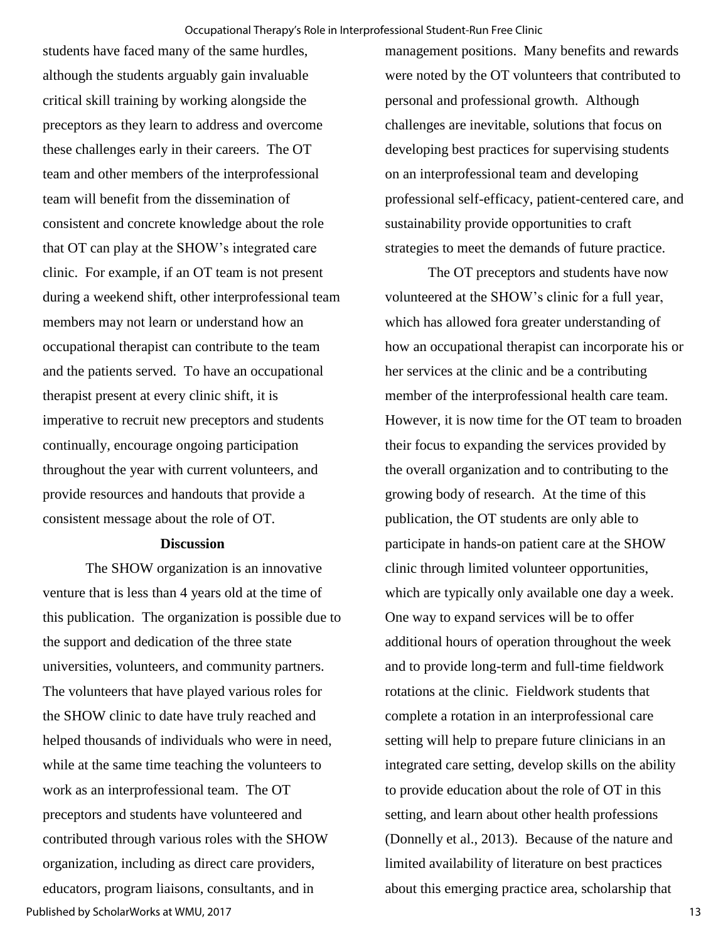students have faced many of the same hurdles, although the students arguably gain invaluable critical skill training by working alongside the preceptors as they learn to address and overcome these challenges early in their careers. The OT team and other members of the interprofessional team will benefit from the dissemination of consistent and concrete knowledge about the role that OT can play at the SHOW's integrated care clinic. For example, if an OT team is not present during a weekend shift, other interprofessional team members may not learn or understand how an occupational therapist can contribute to the team and the patients served. To have an occupational therapist present at every clinic shift, it is imperative to recruit new preceptors and students continually, encourage ongoing participation throughout the year with current volunteers, and provide resources and handouts that provide a consistent message about the role of OT.

#### **Discussion**

The SHOW organization is an innovative venture that is less than 4 years old at the time of this publication. The organization is possible due to the support and dedication of the three state universities, volunteers, and community partners. The volunteers that have played various roles for the SHOW clinic to date have truly reached and helped thousands of individuals who were in need, while at the same time teaching the volunteers to work as an interprofessional team. The OT preceptors and students have volunteered and contributed through various roles with the SHOW organization, including as direct care providers, educators, program liaisons, consultants, and in Published by ScholarWorks at WMU, 2017

management positions. Many benefits and rewards were noted by the OT volunteers that contributed to personal and professional growth. Although challenges are inevitable, solutions that focus on developing best practices for supervising students on an interprofessional team and developing professional self-efficacy, patient-centered care, and sustainability provide opportunities to craft strategies to meet the demands of future practice.

The OT preceptors and students have now volunteered at the SHOW's clinic for a full year, which has allowed fora greater understanding of how an occupational therapist can incorporate his or her services at the clinic and be a contributing member of the interprofessional health care team. However, it is now time for the OT team to broaden their focus to expanding the services provided by the overall organization and to contributing to the growing body of research. At the time of this publication, the OT students are only able to participate in hands-on patient care at the SHOW clinic through limited volunteer opportunities, which are typically only available one day a week. One way to expand services will be to offer additional hours of operation throughout the week and to provide long-term and full-time fieldwork rotations at the clinic. Fieldwork students that complete a rotation in an interprofessional care setting will help to prepare future clinicians in an integrated care setting, develop skills on the ability to provide education about the role of OT in this setting, and learn about other health professions (Donnelly et al., 2013). Because of the nature and limited availability of literature on best practices about this emerging practice area, scholarship that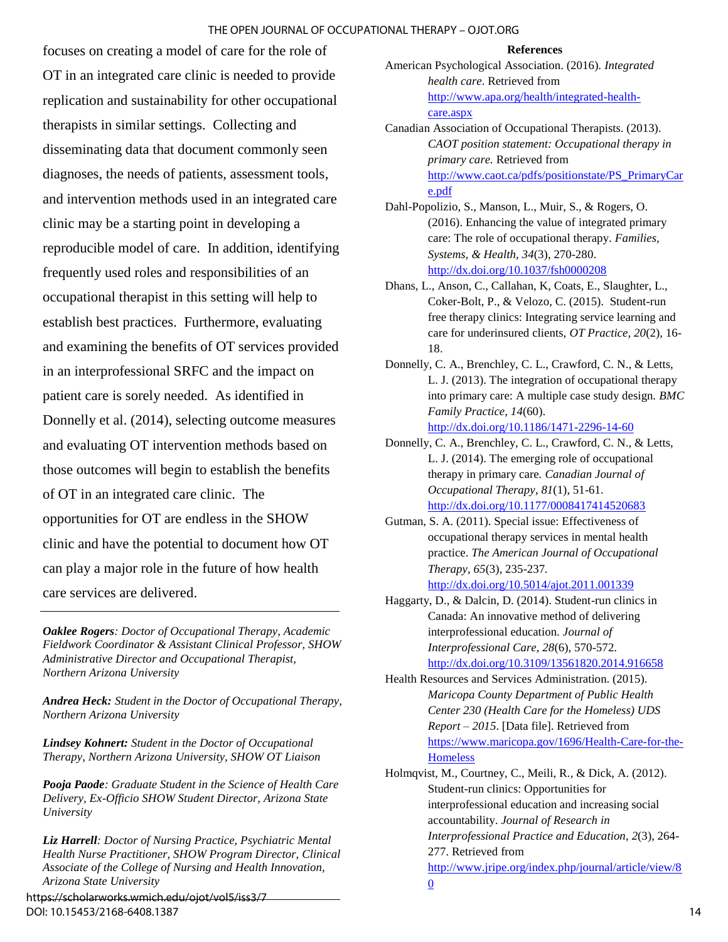focuses on creating a model of care for the role of OT in an integrated care clinic is needed to provide replication and sustainability for other occupational therapists in similar settings. Collecting and disseminating data that document commonly seen diagnoses, the needs of patients, assessment tools, and intervention methods used in an integrated care clinic may be a starting point in developing a reproducible model of care. In addition, identifying frequently used roles and responsibilities of an occupational therapist in this setting will help to establish best practices. Furthermore, evaluating and examining the benefits of OT services provided in an interprofessional SRFC and the impact on patient care is sorely needed. As identified in Donnelly et al. (2014), selecting outcome measures and evaluating OT intervention methods based on those outcomes will begin to establish the benefits of OT in an integrated care clinic. The opportunities for OT are endless in the SHOW clinic and have the potential to document how OT can play a major role in the future of how health care services are delivered.

*Oaklee Rogers: Doctor of Occupational Therapy, Academic Fieldwork Coordinator & Assistant Clinical Professor, SHOW Administrative Director and Occupational Therapist, Northern Arizona University* 

*Andrea Heck: Student in the Doctor of Occupational Therapy, Northern Arizona University* 

*Lindsey Kohnert: Student in the Doctor of Occupational Therapy, Northern Arizona University, SHOW OT Liaison* 

*Pooja Paode: Graduate Student in the Science of Health Care Delivery, Ex-Officio SHOW Student Director, Arizona State University* 

*Liz Harrell: Doctor of Nursing Practice, Psychiatric Mental Health Nurse Practitioner, SHOW Program Director, Clinical Associate of the College of Nursing and Health Innovation, Arizona State University* 

https://scholarworks.wmich.edu/ojot/vol5/iss3/7 DOI: 10.15453/2168-6408.1387

#### **References**

- American Psychological Association. (2016). *Integrated health care*. Retrieved from [http://www.apa.org/health/integrated-health](http://www.apa.org/health/integrated-health-care.aspx)[care.aspx](http://www.apa.org/health/integrated-health-care.aspx)
- Canadian Association of Occupational Therapists. (2013). *CAOT position statement: Occupational therapy in primary care.* Retrieved from [http://www.caot.ca/pdfs/positionstate/PS\\_PrimaryCar](http://www.caot.ca/pdfs/positionstate/PS_PrimaryCare.pdf) [e.pdf](http://www.caot.ca/pdfs/positionstate/PS_PrimaryCare.pdf)
- Dahl-Popolizio, S., Manson, L., Muir, S., & Rogers, O. (2016). Enhancing the value of integrated primary care: The role of occupational therapy. *Families, Systems, & Health*, *34*(3), 270-280. <http://dx.doi.org/10.1037/fsh0000208>
- Dhans, L., Anson, C., Callahan, K, Coats, E., Slaughter, L., Coker-Bolt, P., & Velozo, C. (2015). Student-run free therapy clinics: Integrating service learning and care for underinsured clients, *OT Practice*, *20*(2), 16- 18.
- Donnelly, C. A., Brenchley, C. L., Crawford, C. N., & Letts, L. J. (2013). The integration of occupational therapy into primary care: A multiple case study design. *BMC Family Practice*, *14*(60). <http://dx.doi.org/10.1186/1471-2296-14-60>
- Donnelly, C. A., Brenchley, C. L., Crawford, C. N., & Letts, L. J. (2014). The emerging role of occupational therapy in primary care*. Canadian Journal of Occupational Therapy*, *81*(1), 51-61. [http://dx.doi.org/10.1177/0008417414520683](https://doi.org/10.1177/0008417414520683)
- Gutman, S. A. (2011). Special issue: Effectiveness of occupational therapy services in mental health practice. *The American Journal of Occupational Therapy*, *65*(3), 235-237*.*

<http://dx.doi.org/10.5014/ajot.2011.001339>

- Haggarty, D., & Dalcin, D. (2014). Student-run clinics in Canada: An innovative method of delivering interprofessional education. *Journal of Interprofessional Care*, *28*(6), 570-572. <http://dx.doi.org/10.3109/13561820.2014.916658>
- Health Resources and Services Administration. (2015). *Maricopa County Department of Public Health Center 230 (Health Care for the Homeless) UDS Report – 2015*. [Data file]. Retrieved from [https://www.maricopa.gov/1696/Health-Care-for-the-](https://www.maricopa.gov/1696/Health-Care-for-the-Homeless)**[Homeless](https://www.maricopa.gov/1696/Health-Care-for-the-Homeless)**
- Holmqvist, M., Courtney, C., Meili, R., & Dick, A. (2012). Student-run clinics: Opportunities for interprofessional education and increasing social accountability. *Journal of Research in Interprofessional Practice and Education*, *2*(3), 264- 277. Retrieved from [http://www.jripe.org/index.php/journal/article/view/8](http://www.jripe.org/index.php/journal/article/view/80)  $\overline{0}$  $\overline{0}$  $\overline{0}$